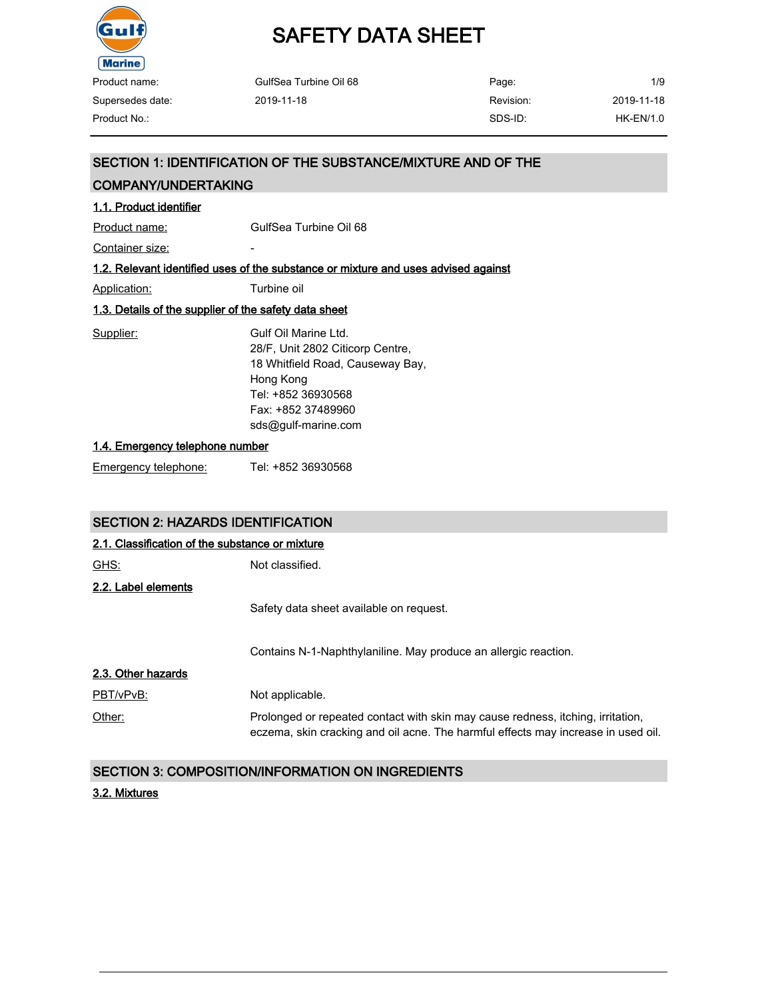

| GulfSea Turbine Oil 68 | Page:     | 1/9         |
|------------------------|-----------|-------------|
| 2019-11-18             | Revision: | 2019-11-18  |
|                        | SDS-ID:   | $HK-EN/1.0$ |
|                        |           |             |

### SECTION 1: IDENTIFICATION OF THE SUBSTANCE/MIXTURE AND OF THE

#### COMPANY/UNDERTAKING

#### 1.1. Product identifier

Product name: GulfSea Turbine Oil 68

Container size: The container size:

#### 1.2. Relevant identified uses of the substance or mixture and uses advised against

Application: Turbine oil

#### 1.3. Details of the supplier of the safety data sheet

| Supplier: | Gulf Oil Marine Ltd.             |
|-----------|----------------------------------|
|           | 28/F, Unit 2802 Citicorp Centre, |
|           | 18 Whitfield Road, Causeway Bay, |
|           | Hong Kong                        |
|           | Tel: +852 36930568               |
|           | Fax: +852 37489960               |
|           | sds@gulf-marine.com              |
|           |                                  |

#### 1.4. Emergency telephone number

Emergency telephone: Tel: +852 36930568

### SECTION 2: HAZARDS IDENTIFICATION

| 2.1. Classification of the substance or mixture |                                                                                                                                                                      |  |  |
|-------------------------------------------------|----------------------------------------------------------------------------------------------------------------------------------------------------------------------|--|--|
| GHS:                                            | Not classified.                                                                                                                                                      |  |  |
| 2.2. Label elements                             |                                                                                                                                                                      |  |  |
|                                                 | Safety data sheet available on request.                                                                                                                              |  |  |
|                                                 | Contains N-1-Naphthylaniline. May produce an allergic reaction.                                                                                                      |  |  |
| 2.3. Other hazards                              |                                                                                                                                                                      |  |  |
| PBT/vPvB:                                       | Not applicable.                                                                                                                                                      |  |  |
| Other:                                          | Prolonged or repeated contact with skin may cause redness, itching, irritation,<br>eczema, skin cracking and oil acne. The harmful effects may increase in used oil. |  |  |

### SECTION 3: COMPOSITION/INFORMATION ON INGREDIENTS

#### 3.2. Mixtures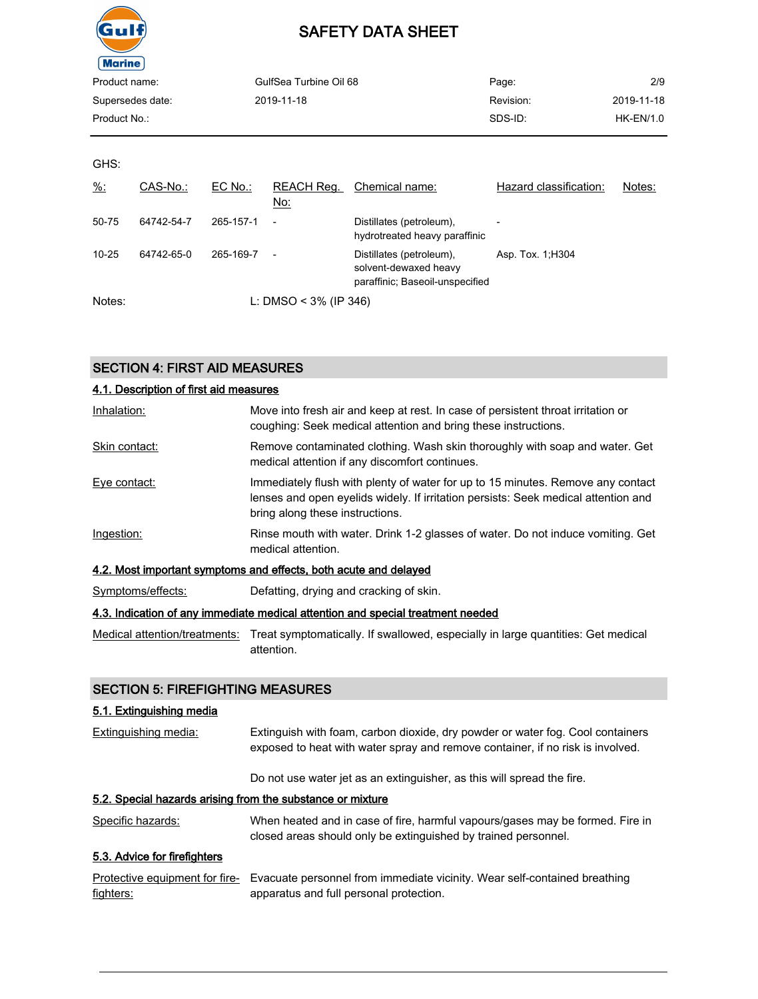

| GulfSea Turbine Oil 68 | Page:     | 2/9         |
|------------------------|-----------|-------------|
| 2019-11-18             | Revision: | 2019-11-18  |
|                        | SDS-ID:   | $HK-EN/1.0$ |
|                        |           |             |

GHS:

| $\frac{9}{6}$ : | CAS-No.:   | EC No.:   | REACH Req.<br>No:        | Chemical name:                                                                       | Hazard classification:   | Notes: |
|-----------------|------------|-----------|--------------------------|--------------------------------------------------------------------------------------|--------------------------|--------|
| 50-75           | 64742-54-7 | 265-157-1 | $\overline{\phantom{a}}$ | Distillates (petroleum),<br>hydrotreated heavy paraffinic                            | $\overline{\phantom{0}}$ |        |
| $10 - 25$       | 64742-65-0 | 265-169-7 | $\overline{\phantom{a}}$ | Distillates (petroleum).<br>solvent-dewaxed heavy<br>paraffinic; Baseoil-unspecified | Asp. Tox. 1, H304        |        |
| Notes:          |            |           | L: DMSO < $3\%$ (IP 346) |                                                                                      |                          |        |

### SECTION 4: FIRST AID MEASURES

| 4.1. Description of first aid measures |                                                                                                                                                                                                          |
|----------------------------------------|----------------------------------------------------------------------------------------------------------------------------------------------------------------------------------------------------------|
| Inhalation:                            | Move into fresh air and keep at rest. In case of persistent throat irritation or<br>coughing: Seek medical attention and bring these instructions.                                                       |
| Skin contact:                          | Remove contaminated clothing. Wash skin thoroughly with soap and water. Get<br>medical attention if any discomfort continues.                                                                            |
| Eye contact:                           | Immediately flush with plenty of water for up to 15 minutes. Remove any contact<br>lenses and open eyelids widely. If irritation persists: Seek medical attention and<br>bring along these instructions. |
| Ingestion:                             | Rinse mouth with water. Drink 1-2 glasses of water. Do not induce vomiting. Get<br>medical attention.                                                                                                    |
|                                        | 4.2. Most important symptoms and effects, both acute and delayed                                                                                                                                         |
| Symptoms/effects:                      | Defatting, drying and cracking of skin.                                                                                                                                                                  |

#### 4.3. Indication of any immediate medical attention and special treatment needed

Medical attention/treatments: Treat symptomatically. If swallowed, especially in large quantities: Get medical attention.

#### SECTION 5: FIREFIGHTING MEASURES

#### 5.1. Extinguishing media

| <b>Extinguishing media:</b> | Extinguish with foam, carbon dioxide, dry powder or water fog. Cool containers |
|-----------------------------|--------------------------------------------------------------------------------|
|                             | exposed to heat with water spray and remove container, if no risk is involved. |
|                             |                                                                                |

Do not use water jet as an extinguisher, as this will spread the fire.

#### 5.2. Special hazards arising from the substance or mixture

Specific hazards: When heated and in case of fire, harmful vapours/gases may be formed. Fire in closed areas should only be extinguished by trained personnel.

### 5.3. Advice for firefighters

|           | Protective equipment for fire- Evacuate personnel from immediate vicinity. Wear self-contained breathing |
|-----------|----------------------------------------------------------------------------------------------------------|
| fighters: | apparatus and full personal protection.                                                                  |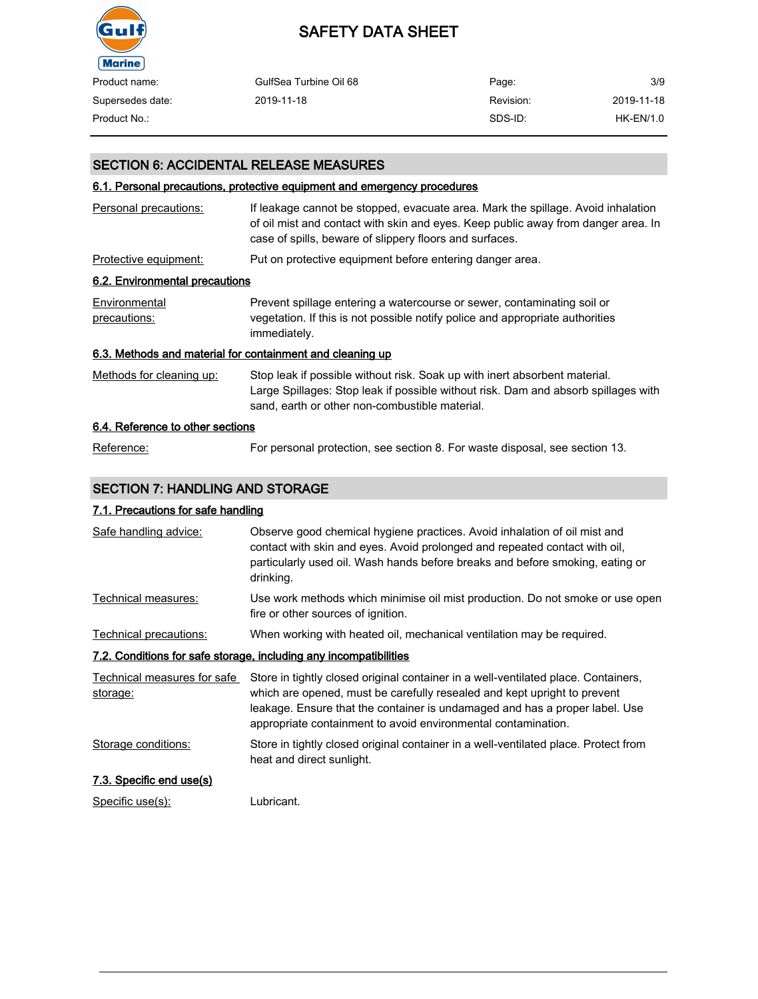

| Product name:    | GulfSea Turbine Oil 68 | Page:     | 3/9        |
|------------------|------------------------|-----------|------------|
| Supersedes date: | 2019-11-18             | Revision: | 2019-11-18 |
| Product No.:     |                        | SDS-ID:   | HK-EN/1.0  |

#### SECTION 6: ACCIDENTAL RELEASE MEASURES

#### 6.1. Personal precautions, protective equipment and emergency procedures

| Personal precautions:                                     | If leakage cannot be stopped, evacuate area. Mark the spillage. Avoid inhalation<br>of oil mist and contact with skin and eyes. Keep public away from danger area. In<br>case of spills, beware of slippery floors and surfaces. |
|-----------------------------------------------------------|----------------------------------------------------------------------------------------------------------------------------------------------------------------------------------------------------------------------------------|
| Protective equipment:                                     | Put on protective equipment before entering danger area.                                                                                                                                                                         |
| 6.2. Environmental precautions                            |                                                                                                                                                                                                                                  |
| Environmental<br>precautions:                             | Prevent spillage entering a watercourse or sewer, contaminating soil or<br>vegetation. If this is not possible notify police and appropriate authorities<br>immediately.                                                         |
| 6.3. Methods and material for containment and cleaning up |                                                                                                                                                                                                                                  |
| Methods for cleaning up:                                  | Stop leak if possible without risk. Soak up with inert absorbent material.<br>Large Spillages: Stop leak if possible without risk. Dam and absorb spillages with<br>sand, earth or other non-combustible material.               |
| 6.4. Reference to other sections                          |                                                                                                                                                                                                                                  |

# Reference: For personal protection, see section 8. For waste disposal, see section 13.

### SECTION 7: HANDLING AND STORAGE

#### 7.1. Precautions for safe handling

| Safe handling advice:                                             | Observe good chemical hygiene practices. Avoid inhalation of oil mist and<br>contact with skin and eyes. Avoid prolonged and repeated contact with oil,<br>particularly used oil. Wash hands before breaks and before smoking, eating or<br>drinking.                                                          |  |  |
|-------------------------------------------------------------------|----------------------------------------------------------------------------------------------------------------------------------------------------------------------------------------------------------------------------------------------------------------------------------------------------------------|--|--|
| Technical measures:                                               | Use work methods which minimise oil mist production. Do not smoke or use open<br>fire or other sources of ignition.                                                                                                                                                                                            |  |  |
| Technical precautions:                                            | When working with heated oil, mechanical ventilation may be required.                                                                                                                                                                                                                                          |  |  |
| 7.2. Conditions for safe storage, including any incompatibilities |                                                                                                                                                                                                                                                                                                                |  |  |
| Technical measures for safe<br>storage:                           | Store in tightly closed original container in a well-ventilated place. Containers,<br>which are opened, must be carefully resealed and kept upright to prevent<br>leakage. Ensure that the container is undamaged and has a proper label. Use<br>appropriate containment to avoid environmental contamination. |  |  |
| Storage conditions:                                               | Store in tightly closed original container in a well-ventilated place. Protect from<br>heat and direct sunlight.                                                                                                                                                                                               |  |  |
| 7.3. Specific end use(s)                                          |                                                                                                                                                                                                                                                                                                                |  |  |
| Specific use(s):                                                  | Lubricant.                                                                                                                                                                                                                                                                                                     |  |  |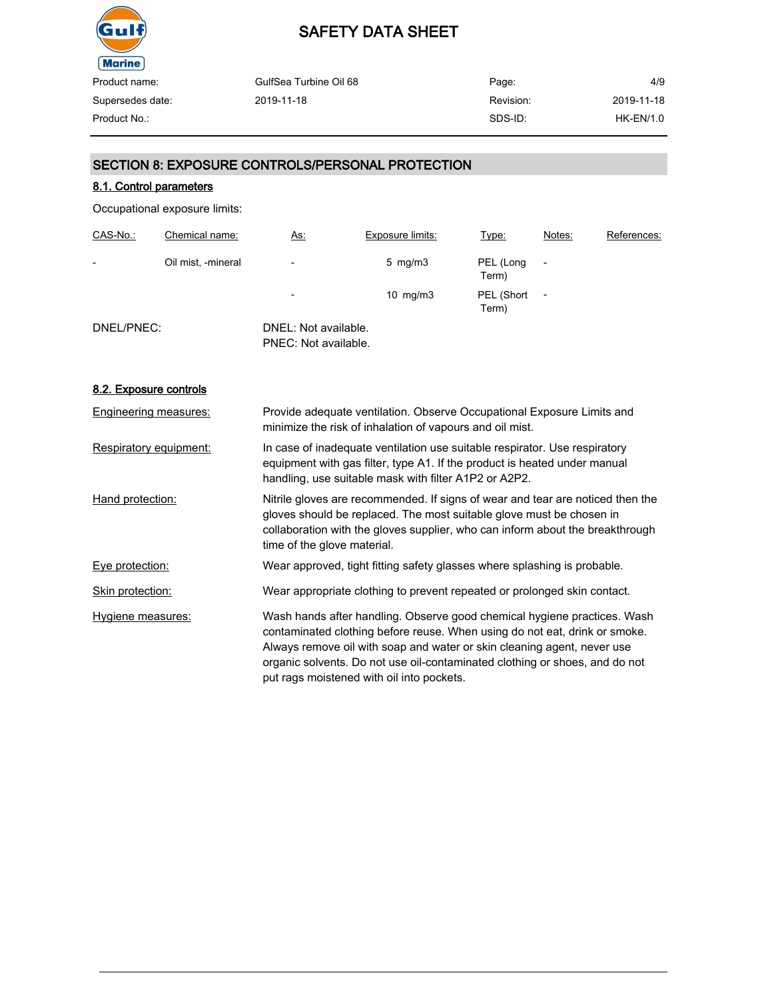

| Page:     | 4/9         |
|-----------|-------------|
| Revision: | 2019-11-18  |
| SDS-ID:   | $HK-EN/1.0$ |
|           |             |

#### SECTION 8: EXPOSURE CONTROLS/PERSONAL PROTECTION

#### 8.1. Control parameters

Occupational exposure limits:

| CAS-No.:                 | Chemical name:     | <u>As:</u>                                   | <b>Exposure limits:</b> | Type:               | Notes:                   | References: |
|--------------------------|--------------------|----------------------------------------------|-------------------------|---------------------|--------------------------|-------------|
| $\overline{\phantom{0}}$ | Oil mist, -mineral | $\overline{\phantom{0}}$                     | 5 mg/m $3$              | PEL (Long<br>Term)  |                          |             |
|                          |                    | $\overline{\phantom{a}}$                     | $10 \text{ mg/m}$ 3     | PEL (Short<br>Term) | $\overline{\phantom{0}}$ |             |
| DNEL/PNEC:               |                    | DNEL: Not available.<br>PNEC: Not available. |                         |                     |                          |             |

#### 8.2. Exposure controls

| <b>Engineering measures:</b> | Provide adequate ventilation. Observe Occupational Exposure Limits and<br>minimize the risk of inhalation of vapours and oil mist.                                                                                                                                                                                                                            |
|------------------------------|---------------------------------------------------------------------------------------------------------------------------------------------------------------------------------------------------------------------------------------------------------------------------------------------------------------------------------------------------------------|
| Respiratory equipment:       | In case of inadequate ventilation use suitable respirator. Use respiratory<br>equipment with gas filter, type A1. If the product is heated under manual<br>handling, use suitable mask with filter A1P2 or A2P2.                                                                                                                                              |
| Hand protection:             | Nitrile gloves are recommended. If signs of wear and tear are noticed then the<br>gloves should be replaced. The most suitable glove must be chosen in<br>collaboration with the gloves supplier, who can inform about the breakthrough<br>time of the glove material.                                                                                        |
| Eye protection:              | Wear approved, tight fitting safety glasses where splashing is probable.                                                                                                                                                                                                                                                                                      |
| Skin protection:             | Wear appropriate clothing to prevent repeated or prolonged skin contact.                                                                                                                                                                                                                                                                                      |
| Hygiene measures:            | Wash hands after handling. Observe good chemical hygiene practices. Wash<br>contaminated clothing before reuse. When using do not eat, drink or smoke.<br>Always remove oil with soap and water or skin cleaning agent, never use<br>organic solvents. Do not use oil-contaminated clothing or shoes, and do not<br>put rags moistened with oil into pockets. |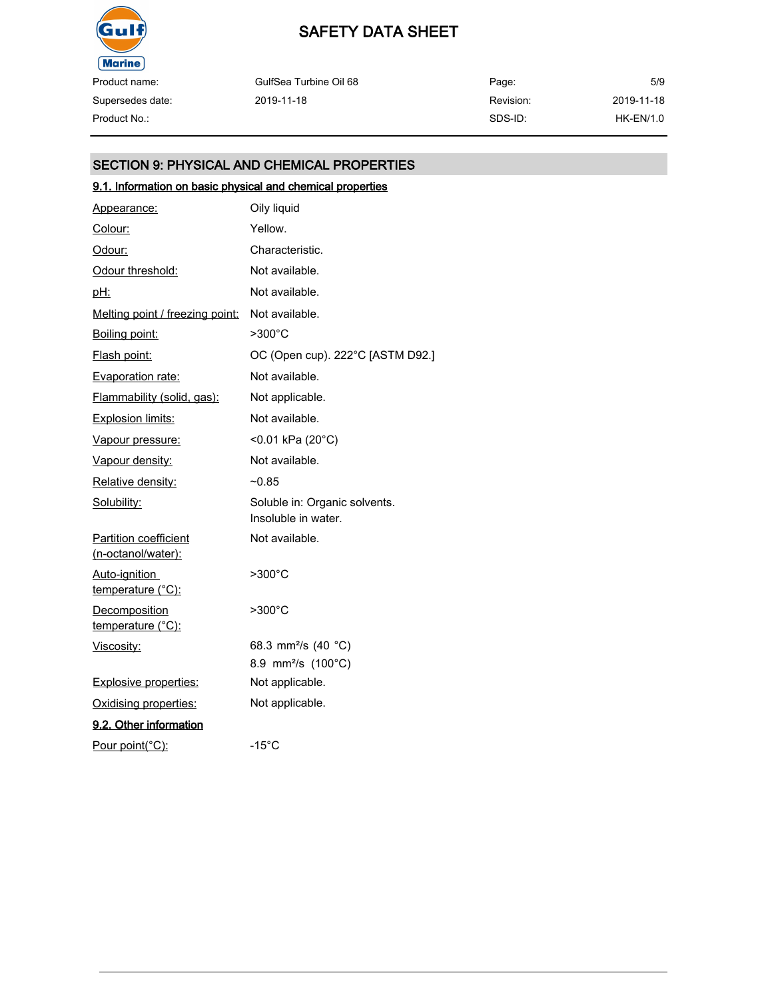

Product name: Supersedes date:

GulfSea Turbine Oil 68 2019-11-18

Page: Revision: SDS-ID: 5/9 Product No.: HK-EN/1.0

2019-11-18

### SECTION 9: PHYSICAL AND CHEMICAL PROPERTIES

### 9.1. Information on basic physical and chemical properties

| Appearance:                                        | Oily liquid                                          |
|----------------------------------------------------|------------------------------------------------------|
| Colour:                                            | Yellow.                                              |
| Odour:                                             | Characteristic.                                      |
| Odour threshold:                                   | Not available.                                       |
| <u>pH:</u>                                         | Not available.                                       |
| Melting point / freezing point:                    | Not available.                                       |
| Boiling point:                                     | $>300^{\circ}$ C                                     |
| Flash point:                                       | OC (Open cup). 222°C [ASTM D92.]                     |
| Evaporation rate:                                  | Not available.                                       |
| Flammability (solid, gas):                         | Not applicable.                                      |
| <b>Explosion limits:</b>                           | Not available.                                       |
| Vapour pressure:                                   | <0.01 kPa (20°C)                                     |
| Vapour density:                                    | Not available.                                       |
| Relative density:                                  | $-0.85$                                              |
| Solubility:                                        | Soluble in: Organic solvents.<br>Insoluble in water. |
| <b>Partition coefficient</b><br>(n-octanol/water): | Not available.                                       |
| Auto-ignition<br><u>temperature (°C):</u>          | $>300^{\circ}$ C                                     |
| Decomposition<br>temperature (°C):                 | $>300^{\circ}$ C                                     |
| Viscosity:                                         | 68.3 mm <sup>2</sup> /s (40 °C)                      |
|                                                    | 8.9 mm <sup>2</sup> /s (100°C)                       |
| <b>Explosive properties:</b>                       | Not applicable.                                      |
| Oxidising properties:                              | Not applicable.                                      |
| 9.2. Other information                             |                                                      |
| Pour point(°C):                                    | $-15^{\circ}$ C                                      |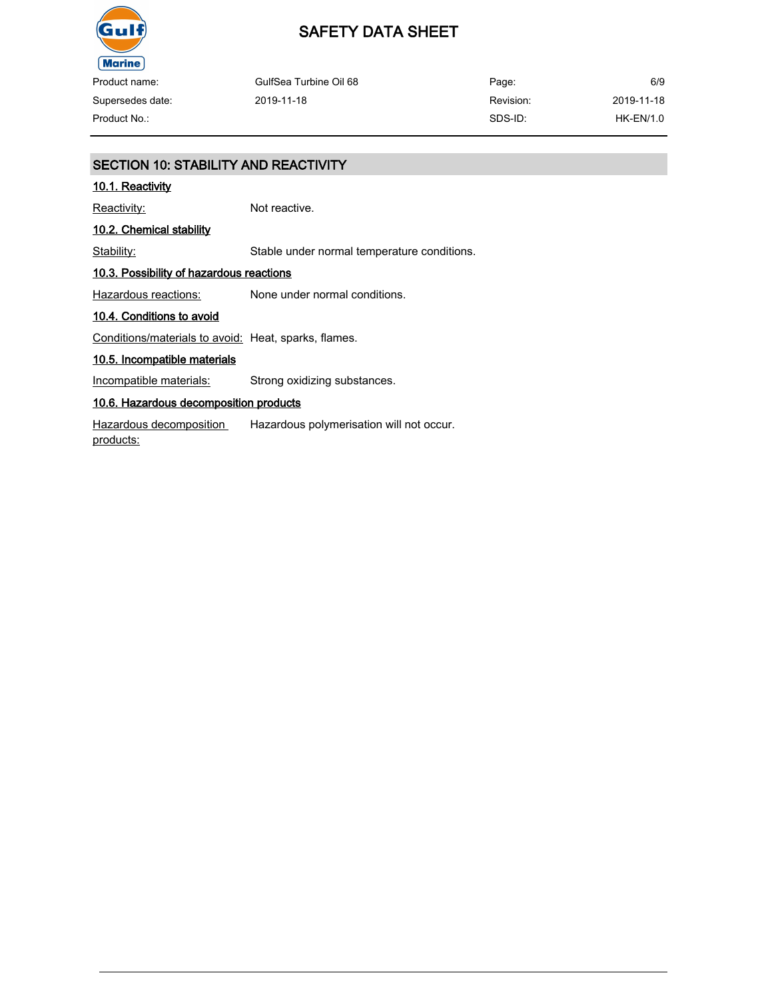

### SAFETY DATA SHEET

| Product name:    | GulfSea Turbine Oil 68 | Page:     | 6/9         |
|------------------|------------------------|-----------|-------------|
| Supersedes date: | 2019-11-18             | Revision: | 2019-11-18  |
| Product No.:     |                        | SDS-ID:   | $HK-EN/1.0$ |

### SECTION 10: STABILITY AND REACTIVITY 10.1. Reactivity Reactivity: Not reactive. 10.2. Chemical stability Stability: Stable under normal temperature conditions. 10.3. Possibility of hazardous reactions Hazardous reactions: None under normal conditions. 10.4. Conditions to avoid Conditions/materials to avoid: Heat, sparks, flames. 10.5. Incompatible materials Incompatible materials: Strong oxidizing substances. 10.6. Hazardous decomposition products Hazardous decomposition products: Hazardous polymerisation will not occur.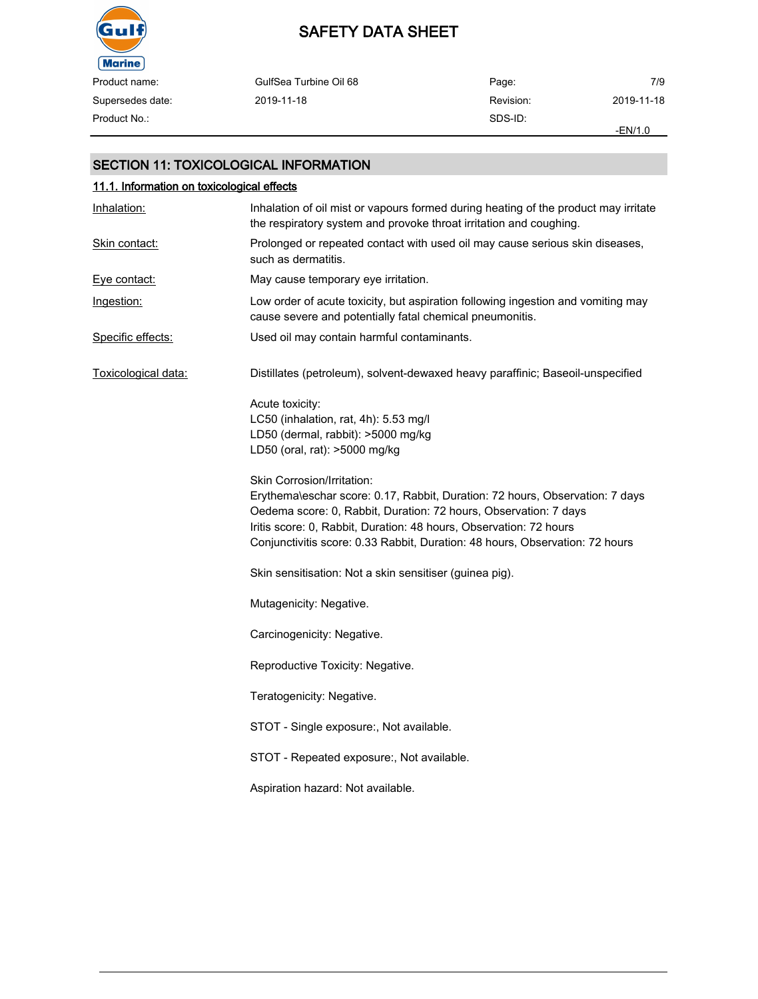

| Product name:    | GulfSea Turbine Oil 68 | Page:     | 7/9        |
|------------------|------------------------|-----------|------------|
| Supersedes date: | 2019-11-18             | Revision: | 2019-11-18 |
| Product No.:     |                        | SDS-ID:   |            |
|                  |                        |           | $-EN/1.0$  |

#### SECTION 11: TOXICOLOGICAL INFORMATION

| 11.1. Information on toxicological effects |                                                                                                                                                                                                                                                                                                                                      |  |  |
|--------------------------------------------|--------------------------------------------------------------------------------------------------------------------------------------------------------------------------------------------------------------------------------------------------------------------------------------------------------------------------------------|--|--|
| Inhalation:                                | Inhalation of oil mist or vapours formed during heating of the product may irritate<br>the respiratory system and provoke throat irritation and coughing.                                                                                                                                                                            |  |  |
| Skin contact:                              | Prolonged or repeated contact with used oil may cause serious skin diseases,<br>such as dermatitis.                                                                                                                                                                                                                                  |  |  |
| <u>Eve contact:</u>                        | May cause temporary eye irritation.                                                                                                                                                                                                                                                                                                  |  |  |
| Ingestion:                                 | Low order of acute toxicity, but aspiration following ingestion and vomiting may<br>cause severe and potentially fatal chemical pneumonitis.                                                                                                                                                                                         |  |  |
| Specific effects:                          | Used oil may contain harmful contaminants.                                                                                                                                                                                                                                                                                           |  |  |
| Toxicological data:                        | Distillates (petroleum), solvent-dewaxed heavy paraffinic; Baseoil-unspecified                                                                                                                                                                                                                                                       |  |  |
|                                            | Acute toxicity:<br>LC50 (inhalation, rat, 4h): 5.53 mg/l<br>LD50 (dermal, rabbit): >5000 mg/kg<br>LD50 (oral, rat): >5000 mg/kg                                                                                                                                                                                                      |  |  |
|                                            | Skin Corrosion/Irritation:<br>Erythema\eschar score: 0.17, Rabbit, Duration: 72 hours, Observation: 7 days<br>Oedema score: 0, Rabbit, Duration: 72 hours, Observation: 7 days<br>Iritis score: 0, Rabbit, Duration: 48 hours, Observation: 72 hours<br>Conjunctivitis score: 0.33 Rabbit, Duration: 48 hours, Observation: 72 hours |  |  |
|                                            | Skin sensitisation: Not a skin sensitiser (guinea pig).                                                                                                                                                                                                                                                                              |  |  |
|                                            | Mutagenicity: Negative.                                                                                                                                                                                                                                                                                                              |  |  |
|                                            | Carcinogenicity: Negative.                                                                                                                                                                                                                                                                                                           |  |  |
|                                            | Reproductive Toxicity: Negative.                                                                                                                                                                                                                                                                                                     |  |  |
|                                            | Teratogenicity: Negative.                                                                                                                                                                                                                                                                                                            |  |  |
|                                            | STOT - Single exposure:, Not available.                                                                                                                                                                                                                                                                                              |  |  |
|                                            | STOT - Repeated exposure:, Not available.                                                                                                                                                                                                                                                                                            |  |  |
|                                            | Aspiration hazard: Not available.                                                                                                                                                                                                                                                                                                    |  |  |
|                                            |                                                                                                                                                                                                                                                                                                                                      |  |  |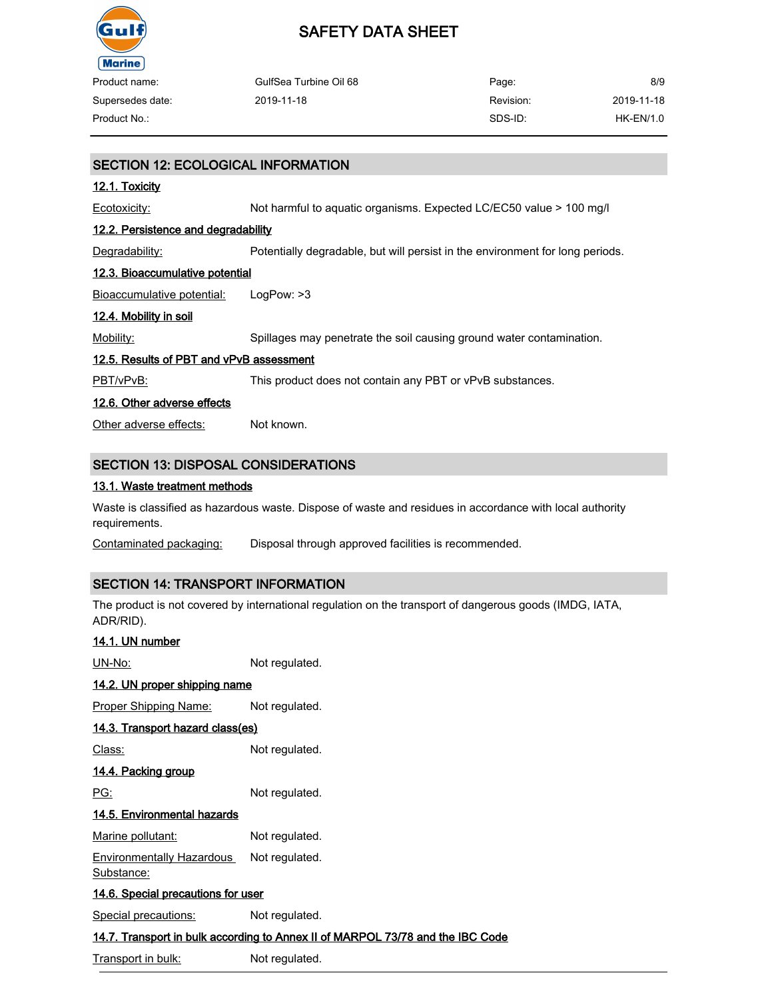

 $\overline{\phantom{0}}$ 

# SAFETY DATA SHEET

| Product name:    | GulfSea Turbine Oil 68 | Page:     | 8/9         |
|------------------|------------------------|-----------|-------------|
| Supersedes date: | 2019-11-18             | Revision: | 2019-11-18  |
| Product No.:     |                        | SDS-ID:   | $HK-EN/1.0$ |
|                  |                        |           |             |

| <b>SECTION 12: ECOLOGICAL INFORMATION</b> |                                                                               |  |
|-------------------------------------------|-------------------------------------------------------------------------------|--|
| <u>12.1. Toxicity</u>                     |                                                                               |  |
| Ecotoxicity:                              | Not harmful to aquatic organisms. Expected LC/EC50 value > 100 mg/l           |  |
| 12.2. Persistence and degradability       |                                                                               |  |
| Degradability:                            | Potentially degradable, but will persist in the environment for long periods. |  |
| 12.3. Bioaccumulative potential           |                                                                               |  |
| Bioaccumulative potential:                | LogPow: >3                                                                    |  |
| <u>12.4. Mobility in soil</u>             |                                                                               |  |
| Mobility:                                 | Spillages may penetrate the soil causing ground water contamination.          |  |
| 12.5. Results of PBT and vPvB assessment  |                                                                               |  |
| PBT/vPvB:                                 | This product does not contain any PBT or vPvB substances.                     |  |
| 12.6. Other adverse effects               |                                                                               |  |
| Other adverse effects:                    | Not known.                                                                    |  |
|                                           |                                                                               |  |
| SECTION 13: DISPOSAL CONSIDERATIONS       |                                                                               |  |

## 13.1. Waste treatment methods

Waste is classified as hazardous waste. Dispose of waste and residues in accordance with local authority requirements.

Contaminated packaging: Disposal through approved facilities is recommended.

### SECTION 14: TRANSPORT INFORMATION

The product is not covered by international regulation on the transport of dangerous goods (IMDG, IATA, ADR/RID).

| 14.1. UN number                                |                                                                                |
|------------------------------------------------|--------------------------------------------------------------------------------|
| UN-No:                                         | Not regulated.                                                                 |
| 14.2. UN proper shipping name                  |                                                                                |
| <b>Proper Shipping Name:</b>                   | Not regulated.                                                                 |
| 14.3. Transport hazard class(es)               |                                                                                |
| Class:                                         | Not regulated.                                                                 |
| 14.4. Packing group                            |                                                                                |
| PG:                                            | Not regulated.                                                                 |
| 14.5. Environmental hazards                    |                                                                                |
| Marine pollutant:                              | Not regulated.                                                                 |
| <b>Environmentally Hazardous</b><br>Substance: | Not regulated.                                                                 |
| 14.6. Special precautions for user             |                                                                                |
| Special precautions:                           | Not regulated.                                                                 |
|                                                | 14.7. Transport in bulk according to Annex II of MARPOL 73/78 and the IBC Code |
|                                                |                                                                                |

Transport in bulk: Not regulated.